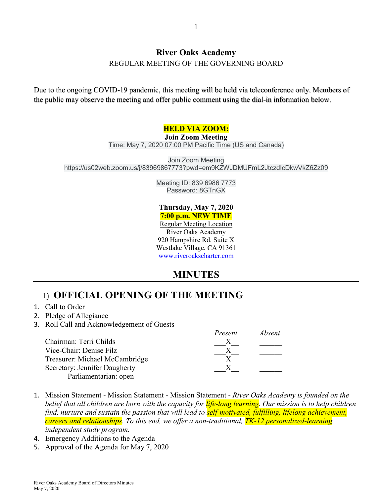#### **River Oaks Academy**

REGULAR MEETING OF THE GOVERNING BOARD

Due to the ongoing COVID-19 pandemic, this meeting will be held via teleconference only. Members of the public may observe the meeting and offer public comment using the dial-in information below.

#### **HELD VIA ZOOM:**

#### **Join Zoom Meeting**

Time: May 7, 2020 07:00 PM Pacific Time (US and Canada)

Join Zoom Meeting https://us02web.zoom.us/j/83969867773?pwd=em9KZWJDMUFmL2JtczdIcDkwVkZ6Zz09

> Meeting ID: 839 6986 7773 Password: 8GTnGX

#### **Thursday, May 7, 2020 7:00 p.m. NEW TIME**

Regular Meeting Location River Oaks Academy 920 Hampshire Rd. Suite X Westlake Village, CA 91361 [www.riveroakscharter.com](http://www.riveroakscharter.com/)

## **MINUTES**

## 1) **OFFICIAL OPENING OF THE MEETING**

- 1. Call to Order
- 2. Pledge of Allegiance
- 3. Roll Call and Acknowledgement of Guests

|                                | Present | Absent |
|--------------------------------|---------|--------|
| Chairman: Terri Childs         |         |        |
| Vice-Chair: Denise Filz        |         |        |
| Treasurer: Michael McCambridge |         |        |
| Secretary: Jennifer Daugherty  |         |        |
| Parliamentarian: open          |         |        |

- 1. Mission Statement Mission Statement Mission Statement *River Oaks Academy is founded on the belief that all children are born with the capacity for life-long learning. Our mission is to help children find, nurture and sustain the passion that will lead to self-motivated, fulfilling, lifelong achievement, careers and relationships. To this end, we offer a non-traditional, TK-12 personalized-learning, independent study program.*
- 4. Emergency Additions to the Agenda
- 5. Approval of the Agenda for May 7, 2020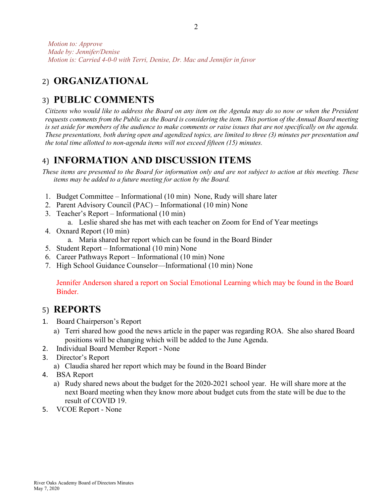# 2) **ORGANIZATIONAL**

# 3) **PUBLIC COMMENTS**

*Citizens who would like to address the Board on any item on the Agenda may do so now or when the President requests comments from the Public as the Board is considering the item. This portion of the Annual Board meeting*  is set aside for members of the audience to make comments or raise issues that are not specifically on the agenda. *These presentations, both during open and agendized topics, are limited to three (3) minutes per presentation and the total time allotted to non-agenda items will not exceed fifteen (15) minutes.*

## 4) **INFORMATION AND DISCUSSION ITEMS**

*These items are presented to the Board for information only and are not subject to action at this meeting. These items may be added to a future meeting for action by the Board.*

- 1. Budget Committee Informational (10 min) None, Rudy will share later
- 2. Parent Advisory Council (PAC) Informational (10 min) None
- 3. Teacher's Report Informational (10 min)
	- a. Leslie shared she has met with each teacher on Zoom for End of Year meetings
- 4. Oxnard Report (10 min)
	- a. Maria shared her report which can be found in the Board Binder
- 5. Student Report Informational (10 min) None
- 6. Career Pathways Report Informational (10 min) None
- 7. High School Guidance Counselor—Informational (10 min) None

Jennifer Anderson shared a report on Social Emotional Learning which may be found in the Board **Binder** 

#### 5) **REPORTS**

- 1. Board Chairperson's Report
	- a) Terri shared how good the news article in the paper was regarding ROA. She also shared Board positions will be changing which will be added to the June Agenda.
- 2. Individual Board Member Report None
- 3. Director's Report
	- a) Claudia shared her report which may be found in the Board Binder
- 4. BSA Report
	- a) Rudy shared news about the budget for the 2020-2021 school year. He will share more at the next Board meeting when they know more about budget cuts from the state will be due to the result of COVID 19.
- 5. VCOE Report None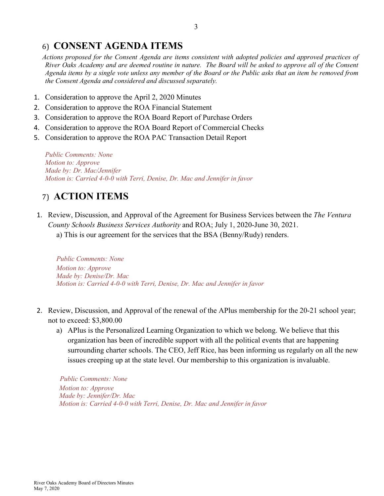## 6) **CONSENT AGENDA ITEMS**

*Actions proposed for the Consent Agenda are items consistent with adopted policies and approved practices of River Oaks Academy and are deemed routine in nature. The Board will be asked to approve all of the Consent Agenda items by a single vote unless any member of the Board or the Public asks that an item be removed from the Consent Agenda and considered and discussed separately.*

- 1. Consideration to approve the April 2, 2020 Minutes
- 2. Consideration to approve the ROA Financial Statement
- 3. Consideration to approve the ROA Board Report of Purchase Orders
- 4. Consideration to approve the ROA Board Report of Commercial Checks
- 5. Consideration to approve the ROA PAC Transaction Detail Report

*Public Comments: None Motion to: Approve Made by: Dr. Mac/Jennifer Motion is: Carried 4-0-0 with Terri, Denise, Dr. Mac and Jennifer in favor*

## 7) **ACTION ITEMS**

- 1. Review, Discussion, and Approval of the Agreement for Business Services between the *The Ventura County Schools Business Services Authority* and ROA; July 1, 2020-June 30, 2021.
	- a) This is our agreement for the services that the BSA (Benny/Rudy) renders.

*Public Comments: None Motion to: Approve Made by: Denise/Dr. Mac Motion is: Carried 4-0-0 with Terri, Denise, Dr. Mac and Jennifer in favor*

- 2. Review, Discussion, and Approval of the renewal of the APlus membership for the 20-21 school year; not to exceed: \$3,800.00
	- a) APlus is the Personalized Learning Organization to which we belong. We believe that this organization has been of incredible support with all the political events that are happening surrounding charter schools. The CEO, Jeff Rice, has been informing us regularly on all the new issues creeping up at the state level. Our membership to this organization is invaluable.

 *Public Comments: None Motion to: Approve Made by: Jennifer/Dr. Mac Motion is: Carried 4-0-0 with Terri, Denise, Dr. Mac and Jennifer in favor*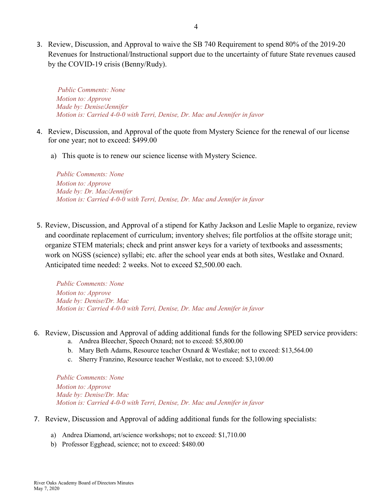3. Review, Discussion, and Approval to waive the SB 740 Requirement to spend 80% of the 2019-20 Revenues for Instructional/Instructional support due to the uncertainty of future State revenues caused by the COVID-19 crisis (Benny/Rudy).

 *Public Comments: None Motion to: Approve Made by: Denise/Jennifer Motion is: Carried 4-0-0 with Terri, Denise, Dr. Mac and Jennifer in favor*

- 4. Review, Discussion, and Approval of the quote from Mystery Science for the renewal of our license for one year; not to exceed: \$499.00
	- a) This quote is to renew our science license with Mystery Science.

*Public Comments: None Motion to: Approve Made by: Dr. Mac/Jennifer Motion is: Carried 4-0-0 with Terri, Denise, Dr. Mac and Jennifer in favor*

5. Review, Discussion, and Approval of a stipend for Kathy Jackson and Leslie Maple to organize, review and coordinate replacement of curriculum; inventory shelves; file portfolios at the offsite storage unit; organize STEM materials; check and print answer keys for a variety of textbooks and assessments; work on NGSS (science) syllabi; etc. after the school year ends at both sites, Westlake and Oxnard. Anticipated time needed: 2 weeks. Not to exceed \$2,500.00 each.

*Public Comments: None Motion to: Approve Made by: Denise/Dr. Mac Motion is: Carried 4-0-0 with Terri, Denise, Dr. Mac and Jennifer in favor*

- 6. Review, Discussion and Approval of adding additional funds for the following SPED service providers:
	- a. Andrea Bleecher, Speech Oxnard; not to exceed: \$5,800.00
	- b. Mary Beth Adams, Resource teacher Oxnard & Westlake; not to exceed: \$13,564.00
	- c. Sherry Franzino, Resource teacher Westlake, not to exceed: \$3,100.00

*Public Comments: None Motion to: Approve Made by: Denise/Dr. Mac Motion is: Carried 4-0-0 with Terri, Denise, Dr. Mac and Jennifer in favor*

- 7. Review, Discussion and Approval of adding additional funds for the following specialists:
	- a) Andrea Diamond, art/science workshops; not to exceed: \$1,710.00
	- b) Professor Egghead, science; not to exceed: \$480.00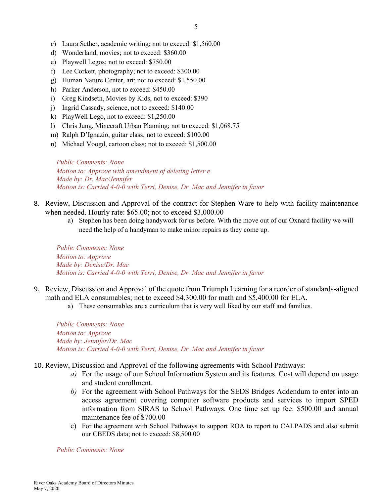- c) Laura Sether, academic writing; not to exceed: \$1,560.00
- d) Wonderland, movies; not to exceed: \$360.00
- e) Playwell Legos; not to exceed: \$750.00
- f) Lee Corkett, photography; not to exceed: \$300.00
- g) Human Nature Center, art; not to exceed: \$1,550.00
- h) Parker Anderson, not to exceed: \$450.00
- i) Greg Kindseth, Movies by Kids, not to exceed: \$390
- j) Ingrid Cassady, science, not to exceed: \$140.00
- k) PlayWell Lego, not to exceed: \$1,250.00
- l) Chris Jung, Minecraft Urban Planning; not to exceed: \$1,068.75
- m) Ralph D'Ignazio, guitar class; not to exceed: \$100.00
- n) Michael Voogd, cartoon class; not to exceed: \$1,500.00

*Public Comments: None Motion to: Approve with amendment of deleting letter e Made by: Dr. Mac/Jennifer Motion is: Carried 4-0-0 with Terri, Denise, Dr. Mac and Jennifer in favor*

- 8. Review, Discussion and Approval of the contract for Stephen Ware to help with facility maintenance when needed. Hourly rate: \$65.00; not to exceed \$3,000.00
	- a) Stephen has been doing handywork for us before. With the move out of our Oxnard facility we will need the help of a handyman to make minor repairs as they come up.

*Public Comments: None Motion to: Approve Made by: Denise/Dr. Mac Motion is: Carried 4-0-0 with Terri, Denise, Dr. Mac and Jennifer in favor*

- 9. Review, Discussion and Approval of the quote from Triumph Learning for a reorder of standards-aligned math and ELA consumables; not to exceed \$4,300.00 for math and \$5,400.00 for ELA.
	- a) These consumables are a curriculum that is very well liked by our staff and families.

*Public Comments: None Motion to: Approve Made by: Jennifer/Dr. Mac Motion is: Carried 4-0-0 with Terri, Denise, Dr. Mac and Jennifer in favor*

- 10. Review, Discussion and Approval of the following agreements with School Pathways:
	- *a)* For the usage of our School Information System and its features. Cost will depend on usage and student enrollment.
	- *b)* For the agreement with School Pathways for the SEDS Bridges Addendum to enter into an access agreement covering computer software products and services to import SPED information from SIRAS to School Pathways. One time set up fee: \$500.00 and annual maintenance fee of \$700.00
	- c) For the agreement with School Pathways to support ROA to report to CALPADS and also submit our CBEDS data; not to exceed: \$8,500.00

*Public Comments: None*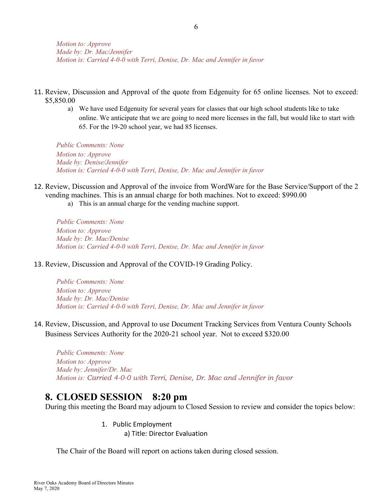- 11. Review, Discussion and Approval of the quote from Edgenuity for 65 online licenses. Not to exceed: \$5,850.00
	- a) We have used Edgenuity for several years for classes that our high school students like to take online. We anticipate that we are going to need more licenses in the fall, but would like to start with 65. For the 19-20 school year, we had 85 licenses.

*Public Comments: None Motion to: Approve Made by: Denise/Jennifer Motion is: Carried 4-0-0 with Terri, Denise, Dr. Mac and Jennifer in favor*

- 12. Review, Discussion and Approval of the invoice from WordWare for the Base Service/Support of the 2 vending machines. This is an annual charge for both machines. Not to exceed: \$990.00
	- a) This is an annual charge for the vending machine support.

*Public Comments: None Motion to: Approve Made by: Dr. Mac/Denise Motion is: Carried 4-0-0 with Terri, Denise, Dr. Mac and Jennifer in favor*

13. Review, Discussion and Approval of the COVID-19 Grading Policy.

*Public Comments: None Motion to: Approve Made by: Dr. Mac/Denise Motion is: Carried 4-0-0 with Terri, Denise, Dr. Mac and Jennifer in favor*

14. Review, Discussion, and Approval to use Document Tracking Services from Ventura County Schools Business Services Authority for the 2020-21 school year. Not to exceed \$320.00

*Public Comments: None Motion to: Approve Made by: Jennifer/Dr. Mac Motion is: Carried 4-0-0 with Terri, Denise, Dr. Mac and Jennifer in favor*

#### **8. CLOSED SESSION 8:20 pm**

During this meeting the Board may adjourn to Closed Session to review and consider the topics below:

1. Public Employment

a) Title: Director Evaluation

The Chair of the Board will report on actions taken during closed session.